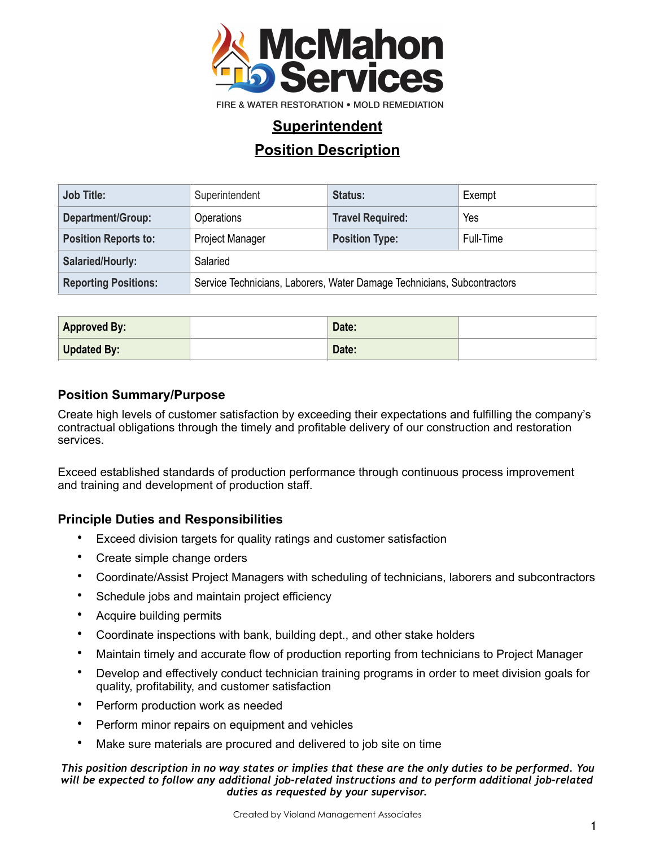

FIRE & WATER RESTORATION . MOLD REMEDIATION

## **Superintendent**

## **Position Description**

| <b>Job Title:</b>           | Superintendent                                                          | Status:                 | Exempt    |  |
|-----------------------------|-------------------------------------------------------------------------|-------------------------|-----------|--|
| Department/Group:           | <b>Operations</b>                                                       | <b>Travel Required:</b> | Yes       |  |
| <b>Position Reports to:</b> | <b>Project Manager</b>                                                  | <b>Position Type:</b>   | Full-Time |  |
| Salaried/Hourly:            | Salaried                                                                |                         |           |  |
| <b>Reporting Positions:</b> | Service Technicians, Laborers, Water Damage Technicians, Subcontractors |                         |           |  |

| <b>Approved By:</b> | Date: |  |
|---------------------|-------|--|
| Updated By:         | Date: |  |

### **Position Summary/Purpose**

Create high levels of customer satisfaction by exceeding their expectations and fulfilling the company's contractual obligations through the timely and profitable delivery of our construction and restoration services.

Exceed established standards of production performance through continuous process improvement and training and development of production staff.

### **Principle Duties and Responsibilities**

- Exceed division targets for quality ratings and customer satisfaction
- Create simple change orders
- Coordinate/Assist Project Managers with scheduling of technicians, laborers and subcontractors
- Schedule jobs and maintain project efficiency
- Acquire building permits
- Coordinate inspections with bank, building dept., and other stake holders
- Maintain timely and accurate flow of production reporting from technicians to Project Manager
- Develop and effectively conduct technician training programs in order to meet division goals for quality, profitability, and customer satisfaction
- Perform production work as needed
- Perform minor repairs on equipment and vehicles
- Make sure materials are procured and delivered to job site on time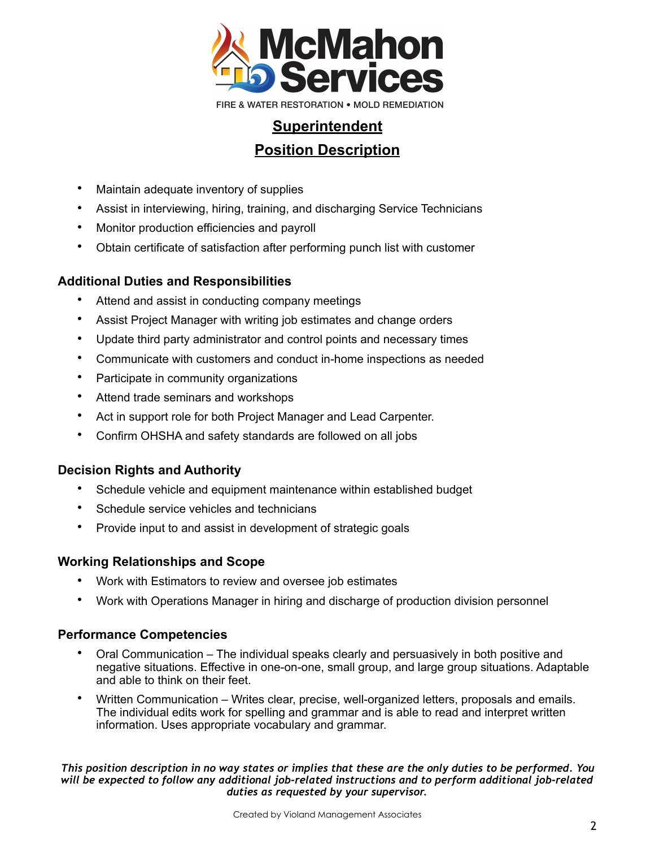

- Maintain adequate inventory of supplies
- Assist in interviewing, hiring, training, and discharging Service Technicians
- Monitor production efficiencies and payroll
- Obtain certificate of satisfaction after performing punch list with customer

## **Additional Duties and Responsibilities**

- Attend and assist in conducting company meetings
- Assist Project Manager with writing job estimates and change orders
- Update third party administrator and control points and necessary times
- Communicate with customers and conduct in-home inspections as needed
- Participate in community organizations
- Attend trade seminars and workshops
- Act in support role for both Project Manager and Lead Carpenter.
- Confirm OHSHA and safety standards are followed on all jobs

## **Decision Rights and Authority**

- Schedule vehicle and equipment maintenance within established budget
- Schedule service vehicles and technicians
- Provide input to and assist in development of strategic goals

## **Working Relationships and Scope**

- Work with Estimators to review and oversee job estimates
- Work with Operations Manager in hiring and discharge of production division personnel

## **Performance Competencies**

- Oral Communication The individual speaks clearly and persuasively in both positive and negative situations. Effective in one-on-one, small group, and large group situations. Adaptable and able to think on their feet.
- Written Communication Writes clear, precise, well-organized letters, proposals and emails. The individual edits work for spelling and grammar and is able to read and interpret written information. Uses appropriate vocabulary and grammar.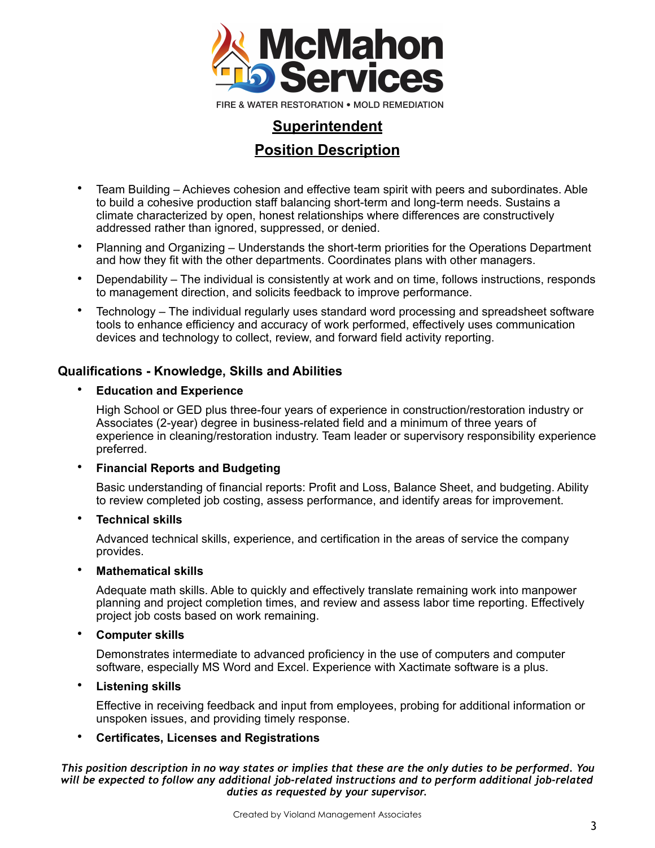

- Team Building Achieves cohesion and effective team spirit with peers and subordinates. Able to build a cohesive production staff balancing short-term and long-term needs. Sustains a climate characterized by open, honest relationships where differences are constructively addressed rather than ignored, suppressed, or denied.
- Planning and Organizing Understands the short-term priorities for the Operations Department and how they fit with the other departments. Coordinates plans with other managers.
- Dependability The individual is consistently at work and on time, follows instructions, responds to management direction, and solicits feedback to improve performance.
- Technology The individual regularly uses standard word processing and spreadsheet software tools to enhance efficiency and accuracy of work performed, effectively uses communication devices and technology to collect, review, and forward field activity reporting.

### **Qualifications - Knowledge, Skills and Abilities**

#### • **Education and Experience**

High School or GED plus three-four years of experience in construction/restoration industry or Associates (2-year) degree in business-related field and a minimum of three years of experience in cleaning/restoration industry. Team leader or supervisory responsibility experience preferred.

#### • **Financial Reports and Budgeting**

Basic understanding of financial reports: Profit and Loss, Balance Sheet, and budgeting. Ability to review completed job costing, assess performance, and identify areas for improvement.

#### • **Technical skills**

Advanced technical skills, experience, and certification in the areas of service the company provides.

#### • **Mathematical skills**

Adequate math skills. Able to quickly and effectively translate remaining work into manpower planning and project completion times, and review and assess labor time reporting. Effectively project job costs based on work remaining.

#### • **Computer skills**

Demonstrates intermediate to advanced proficiency in the use of computers and computer software, especially MS Word and Excel. Experience with Xactimate software is a plus.

#### • **Listening skills**

Effective in receiving feedback and input from employees, probing for additional information or unspoken issues, and providing timely response.

#### • **Certificates, Licenses and Registrations**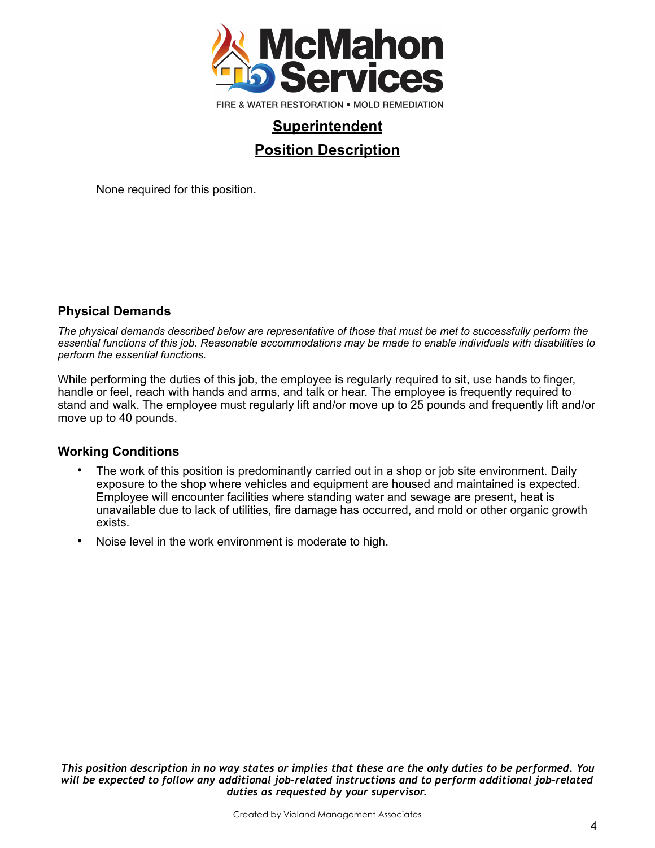

None required for this position.

### **Physical Demands**

*The physical demands described below are representative of those that must be met to successfully perform the essential functions of this job. Reasonable accommodations may be made to enable individuals with disabilities to perform the essential functions.* 

While performing the duties of this job, the employee is regularly required to sit, use hands to finger, handle or feel, reach with hands and arms, and talk or hear. The employee is frequently required to stand and walk. The employee must regularly lift and/or move up to 25 pounds and frequently lift and/or move up to 40 pounds.

#### **Working Conditions**

- The work of this position is predominantly carried out in a shop or job site environment. Daily exposure to the shop where vehicles and equipment are housed and maintained is expected. Employee will encounter facilities where standing water and sewage are present, heat is unavailable due to lack of utilities, fire damage has occurred, and mold or other organic growth exists.
- Noise level in the work environment is moderate to high.